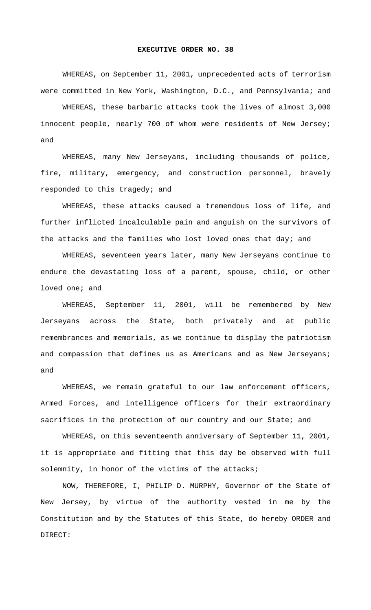## **EXECUTIVE ORDER NO. 38**

WHEREAS, on September 11, 2001, unprecedented acts of terrorism were committed in New York, Washington, D.C., and Pennsylvania; and

WHEREAS, these barbaric attacks took the lives of almost 3,000 innocent people, nearly 700 of whom were residents of New Jersey; and

WHEREAS, many New Jerseyans, including thousands of police, fire, military, emergency, and construction personnel, bravely responded to this tragedy; and

WHEREAS, these attacks caused a tremendous loss of life, and further inflicted incalculable pain and anguish on the survivors of the attacks and the families who lost loved ones that day; and

WHEREAS, seventeen years later, many New Jerseyans continue to endure the devastating loss of a parent, spouse, child, or other loved one; and

WHEREAS, September 11, 2001, will be remembered by New Jerseyans across the State, both privately and at public remembrances and memorials, as we continue to display the patriotism and compassion that defines us as Americans and as New Jerseyans; and

WHEREAS, we remain grateful to our law enforcement officers, Armed Forces, and intelligence officers for their extraordinary sacrifices in the protection of our country and our State; and

WHEREAS, on this seventeenth anniversary of September 11, 2001, it is appropriate and fitting that this day be observed with full solemnity, in honor of the victims of the attacks;

NOW, THEREFORE, I, PHILIP D. MURPHY, Governor of the State of New Jersey, by virtue of the authority vested in me by the Constitution and by the Statutes of this State, do hereby ORDER and DIRECT: